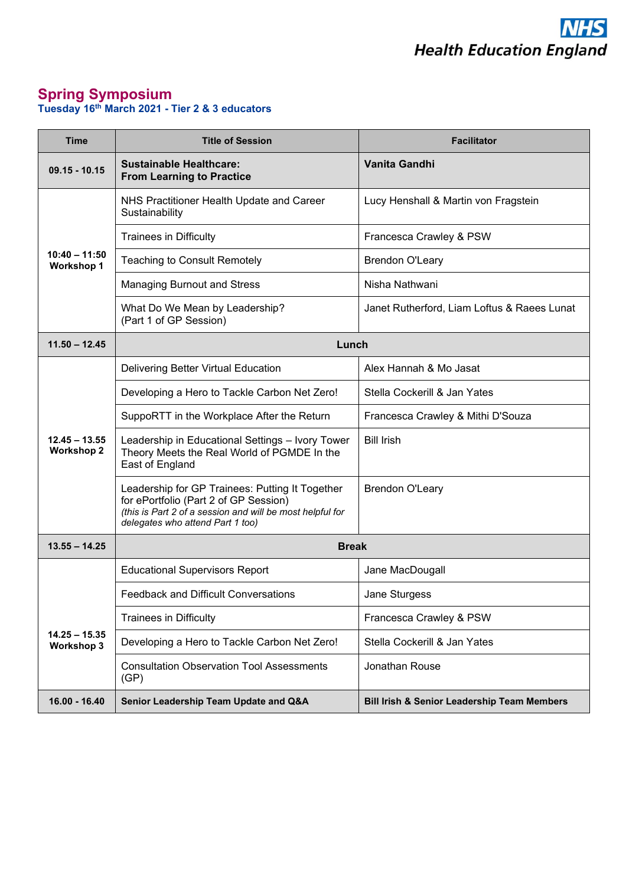

## **Spring Symposium Tuesday 16th March 2021 - Tier 2 & 3 educators**

| <b>Time</b>                          | <b>Title of Session</b>                                                                                                                                                                   | <b>Facilitator</b>                                     |  |
|--------------------------------------|-------------------------------------------------------------------------------------------------------------------------------------------------------------------------------------------|--------------------------------------------------------|--|
| $09.15 - 10.15$                      | Sustainable Healthcare:<br><b>From Learning to Practice</b>                                                                                                                               | Vanita Gandhi                                          |  |
|                                      | NHS Practitioner Health Update and Career<br>Sustainability                                                                                                                               | Lucy Henshall & Martin von Fragstein                   |  |
|                                      | <b>Trainees in Difficulty</b>                                                                                                                                                             | Francesca Crawley & PSW                                |  |
| $10:40 - 11:50$<br><b>Workshop 1</b> | <b>Teaching to Consult Remotely</b>                                                                                                                                                       | <b>Brendon O'Leary</b>                                 |  |
|                                      | <b>Managing Burnout and Stress</b>                                                                                                                                                        | Nisha Nathwani                                         |  |
|                                      | What Do We Mean by Leadership?<br>(Part 1 of GP Session)                                                                                                                                  | Janet Rutherford, Liam Loftus & Raees Lunat            |  |
| $11.50 - 12.45$                      | Lunch                                                                                                                                                                                     |                                                        |  |
|                                      | Delivering Better Virtual Education                                                                                                                                                       | Alex Hannah & Mo Jasat                                 |  |
|                                      | Developing a Hero to Tackle Carbon Net Zero!                                                                                                                                              | Stella Cockerill & Jan Yates                           |  |
|                                      | SuppoRTT in the Workplace After the Return                                                                                                                                                | Francesca Crawley & Mithi D'Souza                      |  |
| $12.45 - 13.55$<br><b>Workshop 2</b> | Leadership in Educational Settings - Ivory Tower<br>Theory Meets the Real World of PGMDE In the<br>East of England                                                                        | <b>Bill Irish</b>                                      |  |
|                                      | Leadership for GP Trainees: Putting It Together<br>for ePortfolio (Part 2 of GP Session)<br>(this is Part 2 of a session and will be most helpful for<br>delegates who attend Part 1 too) | <b>Brendon O'Leary</b>                                 |  |
| $13.55 - 14.25$                      | <b>Break</b>                                                                                                                                                                              |                                                        |  |
|                                      | <b>Educational Supervisors Report</b>                                                                                                                                                     | Jane MacDougall                                        |  |
|                                      | <b>Feedback and Difficult Conversations</b>                                                                                                                                               | Jane Sturgess                                          |  |
|                                      | <b>Trainees in Difficulty</b>                                                                                                                                                             | Francesca Crawley & PSW                                |  |
| $14.25 - 15.35$<br><b>Workshop 3</b> | Developing a Hero to Tackle Carbon Net Zero!                                                                                                                                              | Stella Cockerill & Jan Yates                           |  |
|                                      | <b>Consultation Observation Tool Assessments</b><br>(GP)                                                                                                                                  | Jonathan Rouse                                         |  |
| 16.00 - 16.40                        | Senior Leadership Team Update and Q&A                                                                                                                                                     | <b>Bill Irish &amp; Senior Leadership Team Members</b> |  |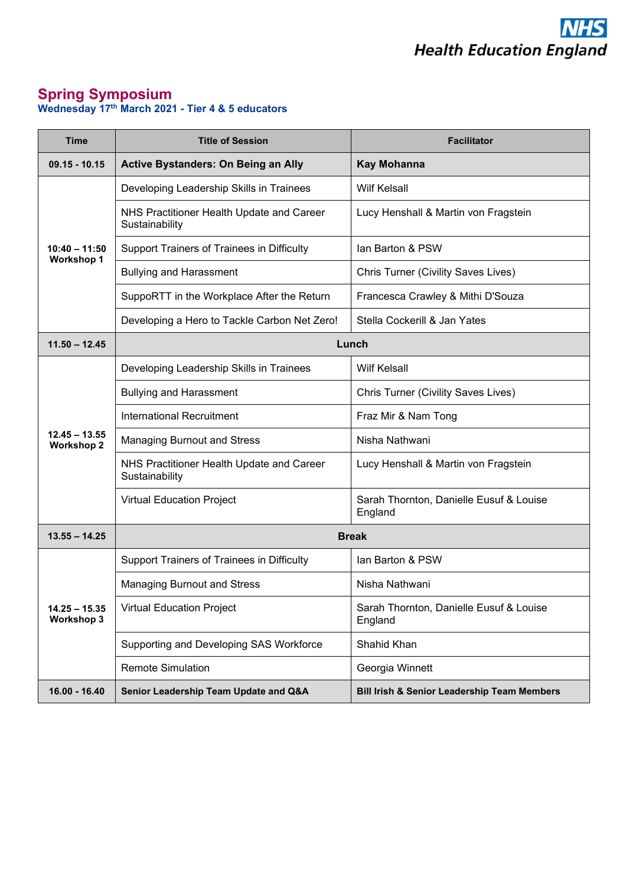

## **Spring Symposium Wednesday 17th March 2021 - Tier 4 & 5 educators**

| <b>Time</b>                          | <b>Title of Session</b>                                     | <b>Facilitator</b>                                     |
|--------------------------------------|-------------------------------------------------------------|--------------------------------------------------------|
| $09.15 - 10.15$                      | <b>Active Bystanders: On Being an Ally</b>                  | <b>Kay Mohanna</b>                                     |
| $10:40 - 11:50$<br><b>Workshop 1</b> | Developing Leadership Skills in Trainees                    | <b>Wilf Kelsall</b>                                    |
|                                      | NHS Practitioner Health Update and Career<br>Sustainability | Lucy Henshall & Martin von Fragstein                   |
|                                      | Support Trainers of Trainees in Difficulty                  | Ian Barton & PSW                                       |
|                                      | <b>Bullying and Harassment</b>                              | Chris Turner (Civility Saves Lives)                    |
|                                      | SuppoRTT in the Workplace After the Return                  | Francesca Crawley & Mithi D'Souza                      |
|                                      | Developing a Hero to Tackle Carbon Net Zero!                | Stella Cockerill & Jan Yates                           |
| $11.50 - 12.45$                      | Lunch                                                       |                                                        |
| $12.45 - 13.55$<br><b>Workshop 2</b> | Developing Leadership Skills in Trainees                    | <b>Wilf Kelsall</b>                                    |
|                                      | <b>Bullying and Harassment</b>                              | Chris Turner (Civility Saves Lives)                    |
|                                      | International Recruitment                                   | Fraz Mir & Nam Tong                                    |
|                                      | <b>Managing Burnout and Stress</b>                          | Nisha Nathwani                                         |
|                                      | NHS Practitioner Health Update and Career<br>Sustainability | Lucy Henshall & Martin von Fragstein                   |
|                                      | <b>Virtual Education Project</b>                            | Sarah Thornton, Danielle Eusuf & Louise<br>England     |
| $13.55 - 14.25$                      | <b>Break</b>                                                |                                                        |
| $14.25 - 15.35$<br><b>Workshop 3</b> | Support Trainers of Trainees in Difficulty                  | Ian Barton & PSW                                       |
|                                      | <b>Managing Burnout and Stress</b>                          | Nisha Nathwani                                         |
|                                      | <b>Virtual Education Project</b>                            | Sarah Thornton, Danielle Eusuf & Louise<br>England     |
|                                      | Supporting and Developing SAS Workforce                     | Shahid Khan                                            |
|                                      | <b>Remote Simulation</b>                                    | Georgia Winnett                                        |
| 16.00 - 16.40                        | Senior Leadership Team Update and Q&A                       | <b>Bill Irish &amp; Senior Leadership Team Members</b> |